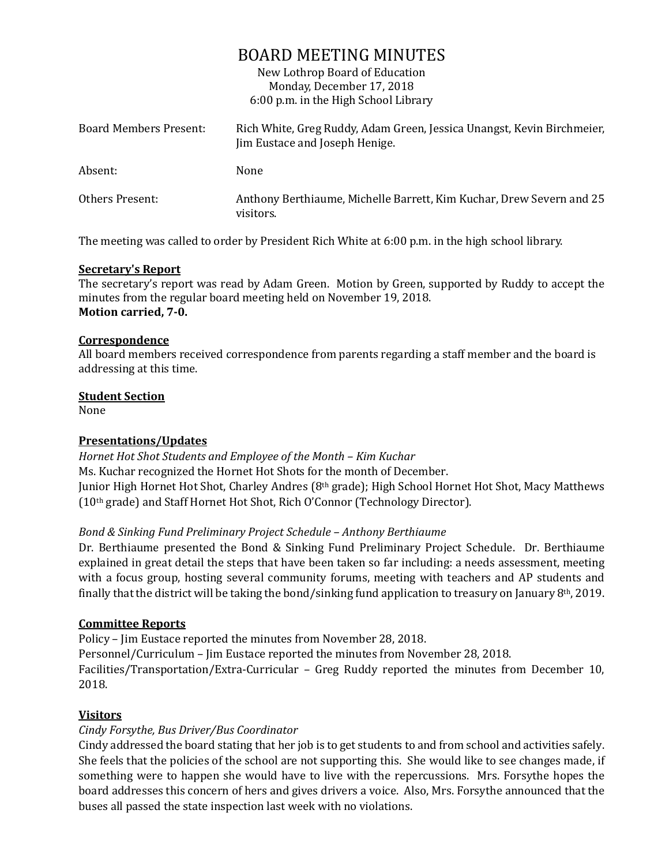## BOARD MEETING MINUTES

New Lothrop Board of Education Monday, December 17, 2018 6:00 p.m. in the High School Library

| Board Members Present: | Rich White, Greg Ruddy, Adam Green, Jessica Unangst, Kevin Birchmeier,<br>Jim Eustace and Joseph Henige. |
|------------------------|----------------------------------------------------------------------------------------------------------|
| Absent:                | None                                                                                                     |
| Others Present:        | Anthony Berthiaume, Michelle Barrett, Kim Kuchar, Drew Severn and 25<br>visitors.                        |

The meeting was called to order by President Rich White at 6:00 p.m. in the high school library.

#### **Secretary's Report**

The secretary's report was read by Adam Green. Motion by Green, supported by Ruddy to accept the minutes from the regular board meeting held on November 19, 2018. **Motion carried, 7-0.**

#### **Correspondence**

All board members received correspondence from parents regarding a staff member and the board is addressing at this time.

#### **Student Section**

None

## **Presentations/Updates**

*Hornet Hot Shot Students and Employee of the Month – Kim Kuchar* Ms. Kuchar recognized the Hornet Hot Shots for the month of December. Junior High Hornet Hot Shot, Charley Andres (8<sup>th</sup> grade); High School Hornet Hot Shot, Macy Matthews (10th grade) and Staff Hornet Hot Shot, Rich O'Connor (Technology Director).

## *Bond & Sinking Fund Preliminary Project Schedule – Anthony Berthiaume*

Dr. Berthiaume presented the Bond & Sinking Fund Preliminary Project Schedule. Dr. Berthiaume explained in great detail the steps that have been taken so far including: a needs assessment, meeting with a focus group, hosting several community forums, meeting with teachers and AP students and finally that the district will be taking the bond/sinking fund application to treasury on January 8th, 2019.

## **Committee Reports**

Policy – Jim Eustace reported the minutes from November 28, 2018.

Personnel/Curriculum – Jim Eustace reported the minutes from November 28, 2018.

Facilities/Transportation/Extra-Curricular – Greg Ruddy reported the minutes from December 10, 2018.

## **Visitors**

## *Cindy Forsythe, Bus Driver/Bus Coordinator*

Cindy addressed the board stating that her job is to get students to and from school and activities safely. She feels that the policies of the school are not supporting this. She would like to see changes made, if something were to happen she would have to live with the repercussions. Mrs. Forsythe hopes the board addresses this concern of hers and gives drivers a voice. Also, Mrs. Forsythe announced that the buses all passed the state inspection last week with no violations.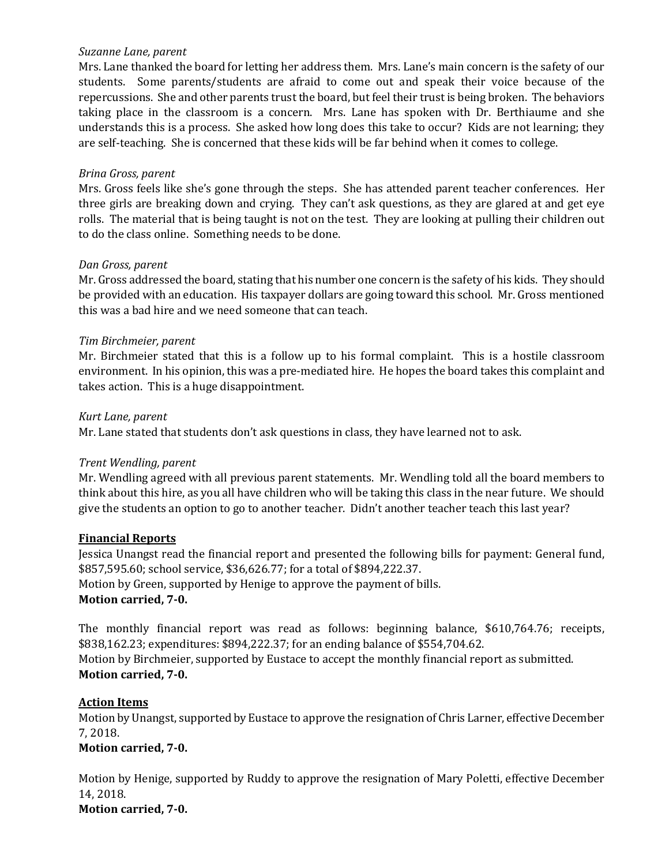#### *Suzanne Lane, parent*

Mrs. Lane thanked the board for letting her address them. Mrs. Lane's main concern is the safety of our students. Some parents/students are afraid to come out and speak their voice because of the repercussions. She and other parents trust the board, but feel their trust is being broken. The behaviors taking place in the classroom is a concern. Mrs. Lane has spoken with Dr. Berthiaume and she understands this is a process. She asked how long does this take to occur? Kids are not learning; they are self-teaching. She is concerned that these kids will be far behind when it comes to college.

#### *Brina Gross, parent*

Mrs. Gross feels like she's gone through the steps. She has attended parent teacher conferences. Her three girls are breaking down and crying. They can't ask questions, as they are glared at and get eye rolls. The material that is being taught is not on the test. They are looking at pulling their children out to do the class online. Something needs to be done.

#### *Dan Gross, parent*

Mr. Gross addressed the board, stating that his number one concern is the safety of his kids. They should be provided with an education. His taxpayer dollars are going toward this school. Mr. Gross mentioned this was a bad hire and we need someone that can teach.

#### *Tim Birchmeier, parent*

Mr. Birchmeier stated that this is a follow up to his formal complaint. This is a hostile classroom environment. In his opinion, this was a pre-mediated hire. He hopes the board takes this complaint and takes action. This is a huge disappointment.

#### *Kurt Lane, parent*

Mr. Lane stated that students don't ask questions in class, they have learned not to ask.

## *Trent Wendling, parent*

Mr. Wendling agreed with all previous parent statements. Mr. Wendling told all the board members to think about this hire, as you all have children who will be taking this class in the near future. We should give the students an option to go to another teacher. Didn't another teacher teach this last year?

#### **Financial Reports**

Jessica Unangst read the financial report and presented the following bills for payment: General fund, \$857,595.60; school service, \$36,626.77; for a total of \$894,222.37. Motion by Green, supported by Henige to approve the payment of bills. **Motion carried, 7-0.**

The monthly financial report was read as follows: beginning balance, \$610,764.76; receipts, \$838,162.23; expenditures: \$894,222.37; for an ending balance of \$554,704.62. Motion by Birchmeier, supported by Eustace to accept the monthly financial report as submitted. **Motion carried, 7-0.**

## **Action Items**

Motion by Unangst, supported by Eustace to approve the resignation of Chris Larner, effective December 7, 2018.

## **Motion carried, 7-0.**

Motion by Henige, supported by Ruddy to approve the resignation of Mary Poletti, effective December 14, 2018. **Motion carried, 7-0.**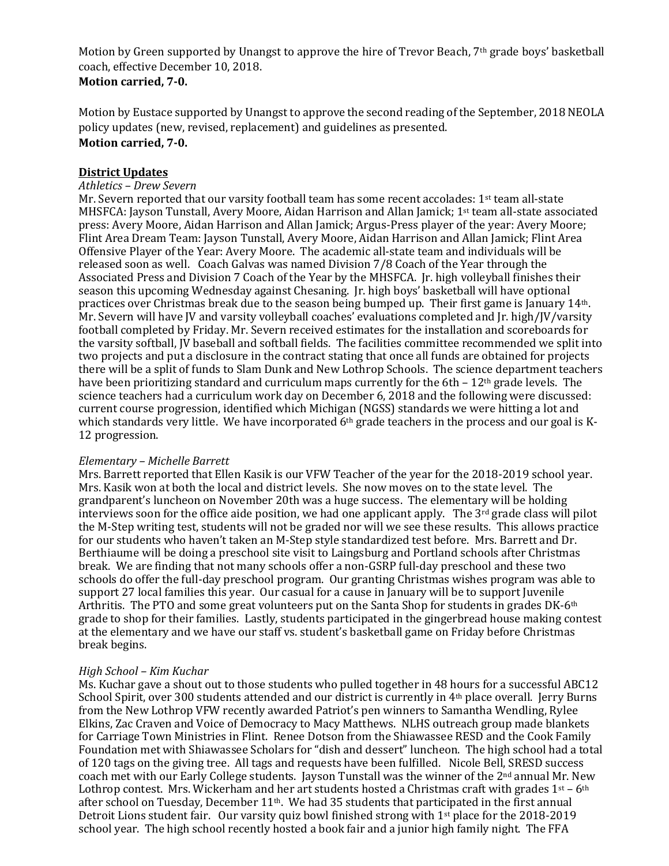Motion by Green supported by Unangst to approve the hire of Trevor Beach, 7<sup>th</sup> grade boys' basketball coach, effective December 10, 2018. **Motion carried, 7-0.**

Motion by Eustace supported by Unangst to approve the second reading of the September, 2018 NEOLA policy updates (new, revised, replacement) and guidelines as presented.

# **Motion carried, 7-0.**

#### **District Updates**

#### *Athletics – Drew Severn*

Mr. Severn reported that our varsity football team has some recent accolades: 1st team all-state MHSFCA: Jayson Tunstall, Avery Moore, Aidan Harrison and Allan Jamick; 1st team all-state associated press: Avery Moore, Aidan Harrison and Allan Jamick; Argus-Press player of the year: Avery Moore; Flint Area Dream Team: Jayson Tunstall, Avery Moore, Aidan Harrison and Allan Jamick; Flint Area Offensive Player of the Year: Avery Moore. The academic all-state team and individuals will be released soon as well. Coach Galvas was named Division 7/8 Coach of the Year through the Associated Press and Division 7 Coach of the Year by the MHSFCA. Jr. high volleyball finishes their season this upcoming Wednesday against Chesaning. Jr. high boys' basketball will have optional practices over Christmas break due to the season being bumped up. Their first game is January 14th. Mr. Severn will have JV and varsity volleyball coaches' evaluations completed and Jr. high/JV/varsity football completed by Friday. Mr. Severn received estimates for the installation and scoreboards for the varsity softball, JV baseball and softball fields. The facilities committee recommended we split into two projects and put a disclosure in the contract stating that once all funds are obtained for projects there will be a split of funds to Slam Dunk and New Lothrop Schools. The science department teachers have been prioritizing standard and curriculum maps currently for the 6th  $-12<sup>th</sup>$  grade levels. The science teachers had a curriculum work day on December 6, 2018 and the following were discussed: current course progression, identified which Michigan (NGSS) standards we were hitting a lot and which standards very little. We have incorporated  $6<sup>th</sup>$  grade teachers in the process and our goal is K-12 progression.

#### *Elementary – Michelle Barrett*

Mrs. Barrett reported that Ellen Kasik is our VFW Teacher of the year for the 2018-2019 school year. Mrs. Kasik won at both the local and district levels. She now moves on to the state level. The grandparent's luncheon on November 20th was a huge success. The elementary will be holding interviews soon for the office aide position, we had one applicant apply. The  $3<sup>rd</sup>$  grade class will pilot the M-Step writing test, students will not be graded nor will we see these results. This allows practice for our students who haven't taken an M-Step style standardized test before. Mrs. Barrett and Dr. Berthiaume will be doing a preschool site visit to Laingsburg and Portland schools after Christmas break. We are finding that not many schools offer a non-GSRP full-day preschool and these two schools do offer the full-day preschool program. Our granting Christmas wishes program was able to support 27 local families this year. Our casual for a cause in January will be to support Juvenile Arthritis. The PTO and some great volunteers put on the Santa Shop for students in grades DK-6th grade to shop for their families. Lastly, students participated in the gingerbread house making contest at the elementary and we have our staff vs. student's basketball game on Friday before Christmas break begins.

#### *High School – Kim Kuchar*

Ms. Kuchar gave a shout out to those students who pulled together in 48 hours for a successful ABC12 School Spirit, over 300 students attended and our district is currently in 4th place overall. Jerry Burns from the New Lothrop VFW recently awarded Patriot's pen winners to Samantha Wendling, Rylee Elkins, Zac Craven and Voice of Democracy to Macy Matthews. NLHS outreach group made blankets for Carriage Town Ministries in Flint. Renee Dotson from the Shiawassee RESD and the Cook Family Foundation met with Shiawassee Scholars for "dish and dessert" luncheon. The high school had a total of 120 tags on the giving tree. All tags and requests have been fulfilled. Nicole Bell, SRESD success coach met with our Early College students. Jayson Tunstall was the winner of the 2<sup>nd</sup> annual Mr. New Lothrop contest. Mrs. Wickerham and her art students hosted a Christmas craft with grades  $1st - 6th$ after school on Tuesday, December  $11<sup>th</sup>$ . We had 35 students that participated in the first annual Detroit Lions student fair. Our varsity quiz bowl finished strong with 1st place for the 2018-2019 school year. The high school recently hosted a book fair and a junior high family night. The FFA